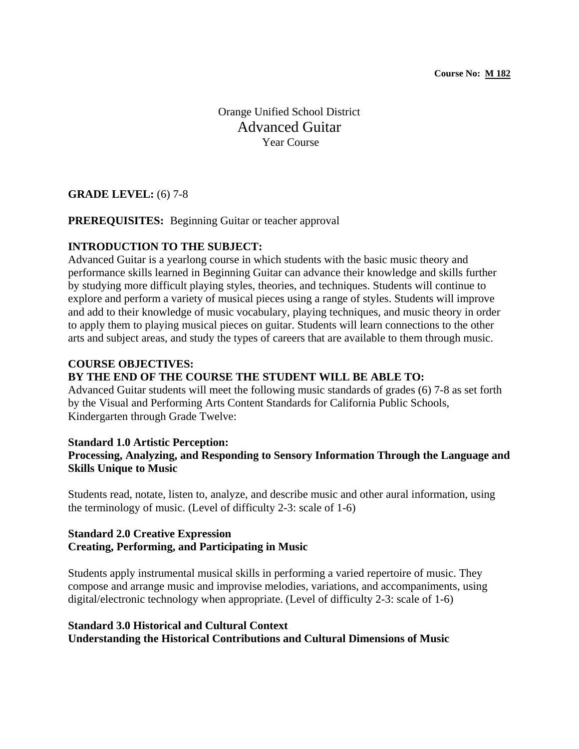Orange Unified School District Advanced Guitar Year Course

## **GRADE LEVEL:** (6) 7-8

### **PREREQUISITES:** Beginning Guitar or teacher approval

### **INTRODUCTION TO THE SUBJECT:**

Advanced Guitar is a yearlong course in which students with the basic music theory and performance skills learned in Beginning Guitar can advance their knowledge and skills further by studying more difficult playing styles, theories, and techniques. Students will continue to explore and perform a variety of musical pieces using a range of styles. Students will improve and add to their knowledge of music vocabulary, playing techniques, and music theory in order to apply them to playing musical pieces on guitar. Students will learn connections to the other arts and subject areas, and study the types of careers that are available to them through music.

### **COURSE OBJECTIVES:**

#### **BY THE END OF THE COURSE THE STUDENT WILL BE ABLE TO:**

Advanced Guitar students will meet the following music standards of grades (6) 7-8 as set forth by the Visual and Performing Arts Content Standards for California Public Schools, Kindergarten through Grade Twelve:

#### **Standard 1.0 Artistic Perception:**

## **Processing, Analyzing, and Responding to Sensory Information Through the Language and Skills Unique to Music**

Students read, notate, listen to, analyze, and describe music and other aural information, using the terminology of music. (Level of difficulty 2-3: scale of 1-6)

### **Standard 2.0 Creative Expression Creating, Performing, and Participating in Music**

Students apply instrumental musical skills in performing a varied repertoire of music. They compose and arrange music and improvise melodies, variations, and accompaniments, using digital/electronic technology when appropriate. (Level of difficulty 2-3: scale of 1-6)

## **Standard 3.0 Historical and Cultural Context Understanding the Historical Contributions and Cultural Dimensions of Music**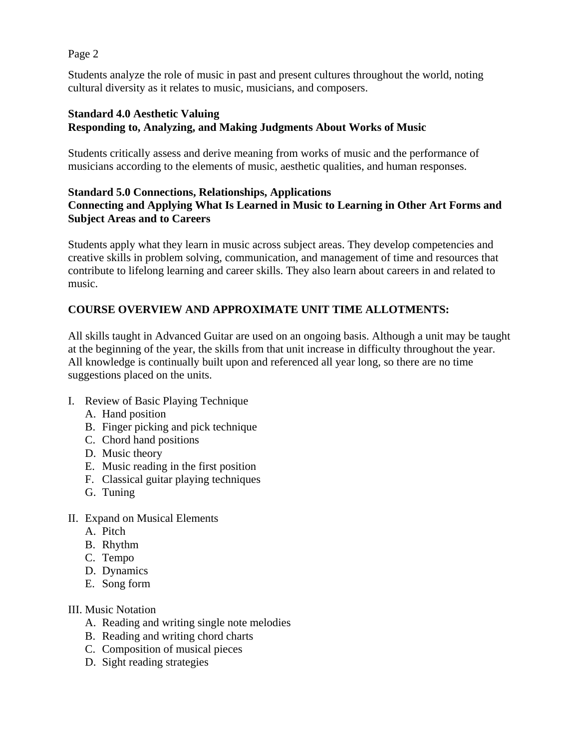Page 2

Students analyze the role of music in past and present cultures throughout the world, noting cultural diversity as it relates to music, musicians, and composers.

# **Standard 4.0 Aesthetic Valuing Responding to, Analyzing, and Making Judgments About Works of Music**

Students critically assess and derive meaning from works of music and the performance of musicians according to the elements of music, aesthetic qualities, and human responses.

# **Standard 5.0 Connections, Relationships, Applications Connecting and Applying What Is Learned in Music to Learning in Other Art Forms and Subject Areas and to Careers**

Students apply what they learn in music across subject areas. They develop competencies and creative skills in problem solving, communication, and management of time and resources that contribute to lifelong learning and career skills. They also learn about careers in and related to music.

# **COURSE OVERVIEW AND APPROXIMATE UNIT TIME ALLOTMENTS:**

All skills taught in Advanced Guitar are used on an ongoing basis. Although a unit may be taught at the beginning of the year, the skills from that unit increase in difficulty throughout the year. All knowledge is continually built upon and referenced all year long, so there are no time suggestions placed on the units.

- I. Review of Basic Playing Technique
	- A. Hand position
	- B. Finger picking and pick technique
	- C. Chord hand positions
	- D. Music theory
	- E. Music reading in the first position
	- F. Classical guitar playing techniques
	- G. Tuning
- II. Expand on Musical Elements
	- A. Pitch
	- B. Rhythm
	- C. Tempo
	- D. Dynamics
	- E. Song form
- III. Music Notation
	- A. Reading and writing single note melodies
	- B. Reading and writing chord charts
	- C. Composition of musical pieces
	- D. Sight reading strategies